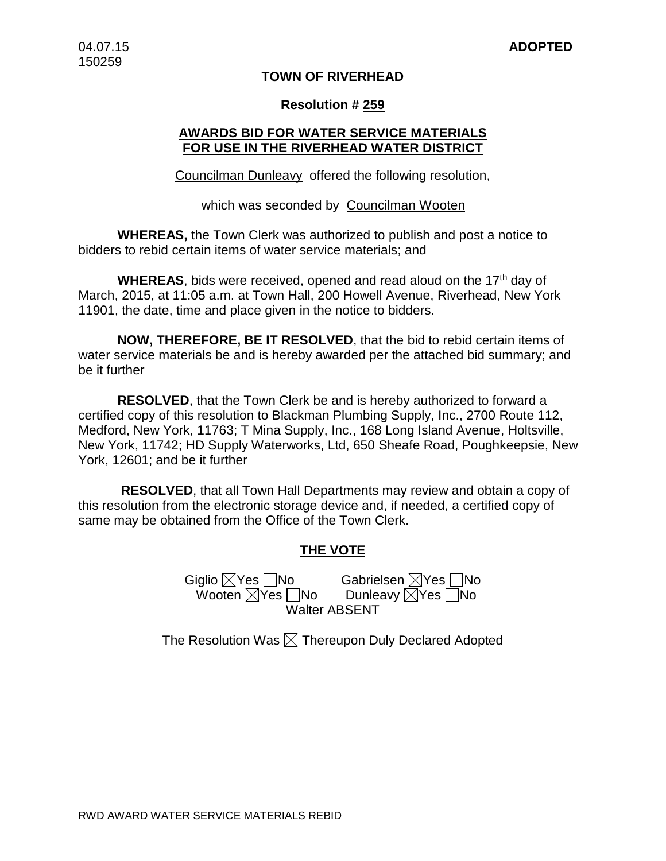## **TOWN OF RIVERHEAD**

## **Resolution # 259**

## **AWARDS BID FOR WATER SERVICE MATERIALS FOR USE IN THE RIVERHEAD WATER DISTRICT**

Councilman Dunleavy offered the following resolution,

which was seconded by Councilman Wooten

**WHEREAS,** the Town Clerk was authorized to publish and post a notice to bidders to rebid certain items of water service materials; and

**WHEREAS**, bids were received, opened and read aloud on the 17th day of March, 2015, at 11:05 a.m. at Town Hall, 200 Howell Avenue, Riverhead, New York 11901, the date, time and place given in the notice to bidders.

**NOW, THEREFORE, BE IT RESOLVED**, that the bid to rebid certain items of water service materials be and is hereby awarded per the attached bid summary; and be it further

**RESOLVED**, that the Town Clerk be and is hereby authorized to forward a certified copy of this resolution to Blackman Plumbing Supply, Inc., 2700 Route 112, Medford, New York, 11763; T Mina Supply, Inc., 168 Long Island Avenue, Holtsville, New York, 11742; HD Supply Waterworks, Ltd, 650 Sheafe Road, Poughkeepsie, New York, 12601; and be it further

**RESOLVED**, that all Town Hall Departments may review and obtain a copy of this resolution from the electronic storage device and, if needed, a certified copy of same may be obtained from the Office of the Town Clerk.

## **THE VOTE**

Giglio XYes No Gabrielsen XYes No Wooten  $\boxtimes$ Yes  $\Box$ No Dunleavy  $\boxtimes$ Yes  $\Box$ No Walter ABSENT

The Resolution Was  $\boxtimes$  Thereupon Duly Declared Adopted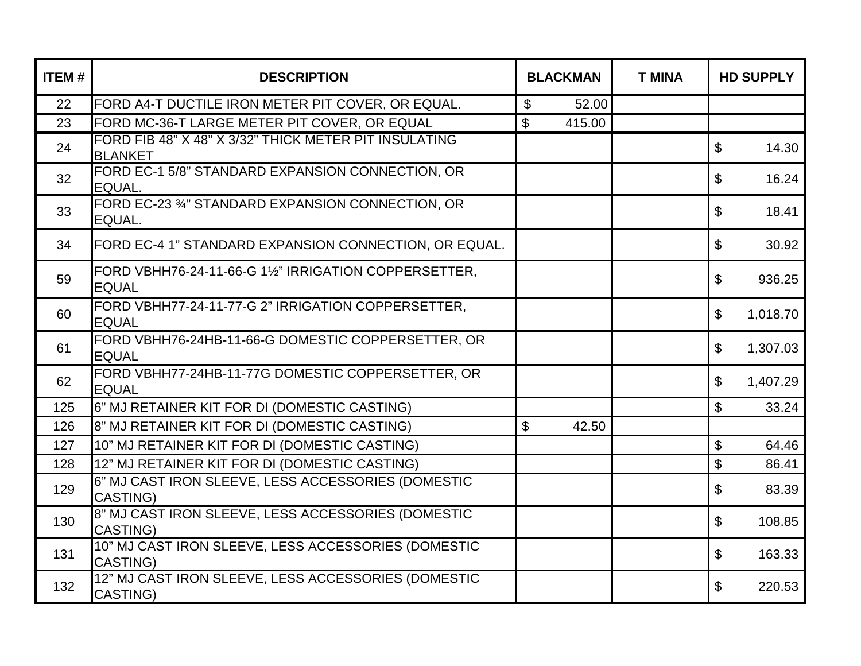| <b>ITEM#</b> | <b>DESCRIPTION</b>                                                      |       | <b>BLACKMAN</b> | <b>T MINA</b> |                           | <b>HD SUPPLY</b> |
|--------------|-------------------------------------------------------------------------|-------|-----------------|---------------|---------------------------|------------------|
| 22           | FORD A4-T DUCTILE IRON METER PIT COVER, OR EQUAL.                       | $\$\$ | 52.00           |               |                           |                  |
| 23           | FORD MC-36-T LARGE METER PIT COVER, OR EQUAL                            | \$    | 415.00          |               |                           |                  |
| 24           | FORD FIB 48" X 48" X 3/32" THICK METER PIT INSULATING<br><b>BLANKET</b> |       |                 |               | \$                        | 14.30            |
| 32           | FORD EC-1 5/8" STANDARD EXPANSION CONNECTION, OR<br>EQUAL.              |       |                 |               | \$                        | 16.24            |
| 33           | FORD EC-23 34" STANDARD EXPANSION CONNECTION, OR<br>EQUAL.              |       |                 |               | \$                        | 18.41            |
| 34           | FORD EC-4 1" STANDARD EXPANSION CONNECTION, OR EQUAL.                   |       |                 |               | \$                        | 30.92            |
| 59           | FORD VBHH76-24-11-66-G 11/2" IRRIGATION COPPERSETTER,<br><b>EQUAL</b>   |       |                 |               | \$                        | 936.25           |
| 60           | FORD VBHH77-24-11-77-G 2" IRRIGATION COPPERSETTER,<br><b>EQUAL</b>      |       |                 |               | \$                        | 1,018.70         |
| 61           | FORD VBHH76-24HB-11-66-G DOMESTIC COPPERSETTER, OR<br><b>EQUAL</b>      |       |                 |               | \$                        | 1,307.03         |
| 62           | FORD VBHH77-24HB-11-77G DOMESTIC COPPERSETTER, OR<br><b>EQUAL</b>       |       |                 |               | $\boldsymbol{\mathsf{S}}$ | 1,407.29         |
| 125          | 6" MJ RETAINER KIT FOR DI (DOMESTIC CASTING)                            |       |                 |               | \$                        | 33.24            |
| 126          | 8" MJ RETAINER KIT FOR DI (DOMESTIC CASTING)                            | \$    | 42.50           |               |                           |                  |
| 127          | 10" MJ RETAINER KIT FOR DI (DOMESTIC CASTING)                           |       |                 |               | \$                        | 64.46            |
| 128          | 12" MJ RETAINER KIT FOR DI (DOMESTIC CASTING)                           |       |                 |               | \$                        | 86.41            |
| 129          | 6" MJ CAST IRON SLEEVE, LESS ACCESSORIES (DOMESTIC<br>CASTING)          |       |                 |               | \$                        | 83.39            |
| 130          | 8" MJ CAST IRON SLEEVE, LESS ACCESSORIES (DOMESTIC<br><b>CASTING)</b>   |       |                 |               | \$                        | 108.85           |
| 131          | 10" MJ CAST IRON SLEEVE, LESS ACCESSORIES (DOMESTIC<br><b>CASTING)</b>  |       |                 |               | \$                        | 163.33           |
| 132          | 12" MJ CAST IRON SLEEVE, LESS ACCESSORIES (DOMESTIC<br>CASTING)         |       |                 |               | \$                        | 220.53           |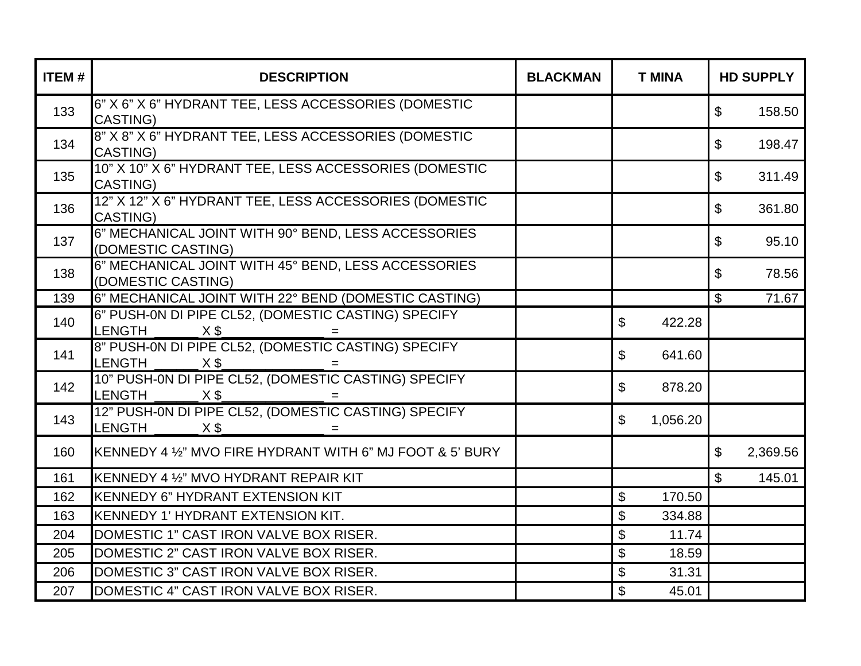| <b>ITEM#</b> | <b>DESCRIPTION</b>                                                                                                    | <b>BLACKMAN</b> | <b>T MINA</b>  | <b>HD SUPPLY</b> |          |
|--------------|-----------------------------------------------------------------------------------------------------------------------|-----------------|----------------|------------------|----------|
| 133          | 6" X 6" X 6" HYDRANT TEE, LESS ACCESSORIES (DOMESTIC<br><b>CASTING)</b>                                               |                 |                | $\mathfrak{L}$   | 158.50   |
| 134          | 8" X 8" X 6" HYDRANT TEE, LESS ACCESSORIES (DOMESTIC<br>CASTING)                                                      |                 |                | $\mathfrak{S}$   | 198.47   |
| 135          | 10" X 10" X 6" HYDRANT TEE, LESS ACCESSORIES (DOMESTIC<br><b>CASTING)</b>                                             |                 |                | $\$\$            | 311.49   |
| 136          | 12" X 12" X 6" HYDRANT TEE, LESS ACCESSORIES (DOMESTIC<br>CASTING)                                                    |                 |                | $\mathfrak{L}$   | 361.80   |
| 137          | 6" MECHANICAL JOINT WITH 90° BEND, LESS ACCESSORIES<br>(DOMESTIC CASTING)                                             |                 |                | $\mathfrak{L}$   | 95.10    |
| 138          | 6" MECHANICAL JOINT WITH 45° BEND, LESS ACCESSORIES<br>(DOMESTIC CASTING)                                             |                 |                | $\mathfrak{L}$   | 78.56    |
| 139          | 6" MECHANICAL JOINT WITH 22° BEND (DOMESTIC CASTING)                                                                  |                 |                | $\mathfrak{L}$   | 71.67    |
| 140          | 6" PUSH-0N DI PIPE CL52, (DOMESTIC CASTING) SPECIFY<br><b>LENGTH</b><br>$X$ \$                                        |                 | \$<br>422.28   |                  |          |
| 141          | 8" PUSH-0N DI PIPE CL52, (DOMESTIC CASTING) SPECIFY<br><b>LENGTH</b><br>$X$ \$<br>$=$                                 |                 | \$<br>641.60   |                  |          |
| 142          | 10" PUSH-0N DI PIPE CL52, (DOMESTIC CASTING) SPECIFY<br><b>LENGTH</b><br>_ X \$_<br>and the state of the state of the |                 | \$<br>878.20   |                  |          |
| 143          | 12" PUSH-0N DI PIPE CL52, (DOMESTIC CASTING) SPECIFY<br><b>LENGTH</b><br>$X$ \$                                       |                 | \$<br>1,056.20 |                  |          |
| 160          | KENNEDY 4 1/2" MVO FIRE HYDRANT WITH 6" MJ FOOT & 5' BURY                                                             |                 |                | $\mathfrak{L}$   | 2,369.56 |
| 161          | KENNEDY 4 1/2" MVO HYDRANT REPAIR KIT                                                                                 |                 |                | $\mathfrak{L}$   | 145.01   |
| 162          | <b>KENNEDY 6" HYDRANT EXTENSION KIT</b>                                                                               |                 | \$<br>170.50   |                  |          |
| 163          | KENNEDY 1' HYDRANT EXTENSION KIT.                                                                                     |                 | \$<br>334.88   |                  |          |
| 204          | DOMESTIC 1" CAST IRON VALVE BOX RISER.                                                                                |                 | \$<br>11.74    |                  |          |
| 205          | DOMESTIC 2" CAST IRON VALVE BOX RISER.                                                                                |                 | \$<br>18.59    |                  |          |
| 206          | DOMESTIC 3" CAST IRON VALVE BOX RISER.                                                                                |                 | \$<br>31.31    |                  |          |
| 207          | DOMESTIC 4" CAST IRON VALVE BOX RISER.                                                                                |                 | \$<br>45.01    |                  |          |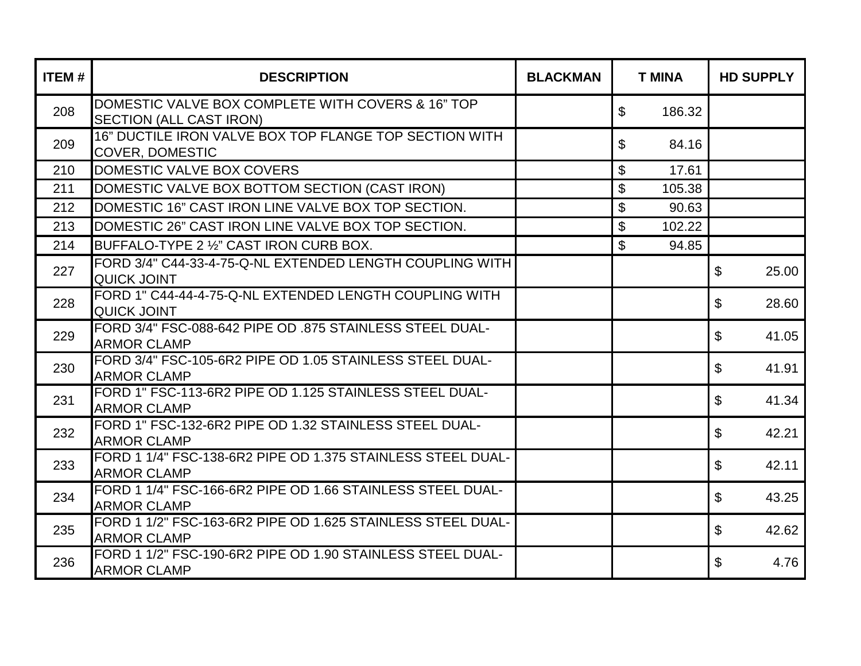| <b>ITEM#</b> | <b>DESCRIPTION</b>                                                                  | <b>BLACKMAN</b> | <b>T MINA</b>             |        | <b>HD SUPPLY</b>        |  |
|--------------|-------------------------------------------------------------------------------------|-----------------|---------------------------|--------|-------------------------|--|
| 208          | DOMESTIC VALVE BOX COMPLETE WITH COVERS & 16" TOP<br><b>SECTION (ALL CAST IRON)</b> |                 | \$                        | 186.32 |                         |  |
| 209          | 16" DUCTILE IRON VALVE BOX TOP FLANGE TOP SECTION WITH<br><b>COVER, DOMESTIC</b>    |                 | \$                        | 84.16  |                         |  |
| 210          | DOMESTIC VALVE BOX COVERS                                                           |                 | \$                        | 17.61  |                         |  |
| 211          | DOMESTIC VALVE BOX BOTTOM SECTION (CAST IRON)                                       |                 | $\boldsymbol{\mathsf{S}}$ | 105.38 |                         |  |
| 212          | DOMESTIC 16" CAST IRON LINE VALVE BOX TOP SECTION.                                  |                 | $\boldsymbol{\mathsf{S}}$ | 90.63  |                         |  |
| 213          | DOMESTIC 26" CAST IRON LINE VALVE BOX TOP SECTION.                                  |                 | $\mathfrak{S}$            | 102.22 |                         |  |
| 214          | BUFFALO-TYPE 2 1/2" CAST IRON CURB BOX.                                             |                 | $\boldsymbol{\mathsf{S}}$ | 94.85  |                         |  |
| 227          | FORD 3/4" C44-33-4-75-Q-NL EXTENDED LENGTH COUPLING WITH<br><b>QUICK JOINT</b>      |                 |                           |        | $\mathfrak{L}$<br>25.00 |  |
| 228          | FORD 1" C44-44-4-75-Q-NL EXTENDED LENGTH COUPLING WITH<br><b>QUICK JOINT</b>        |                 |                           |        | \$<br>28.60             |  |
| 229          | FORD 3/4" FSC-088-642 PIPE OD .875 STAINLESS STEEL DUAL-<br><b>ARMOR CLAMP</b>      |                 |                           |        | \$<br>41.05             |  |
| 230          | FORD 3/4" FSC-105-6R2 PIPE OD 1.05 STAINLESS STEEL DUAL-<br><b>ARMOR CLAMP</b>      |                 |                           |        | $\mathfrak{L}$<br>41.91 |  |
| 231          | FORD 1" FSC-113-6R2 PIPE OD 1.125 STAINLESS STEEL DUAL-<br><b>ARMOR CLAMP</b>       |                 |                           |        | \$<br>41.34             |  |
| 232          | FORD 1" FSC-132-6R2 PIPE OD 1.32 STAINLESS STEEL DUAL-<br><b>ARMOR CLAMP</b>        |                 |                           |        | $\$\$<br>42.21          |  |
| 233          | FORD 1 1/4" FSC-138-6R2 PIPE OD 1.375 STAINLESS STEEL DUAL-<br><b>ARMOR CLAMP</b>   |                 |                           |        | $\mathfrak{L}$<br>42.11 |  |
| 234          | FORD 1 1/4" FSC-166-6R2 PIPE OD 1.66 STAINLESS STEEL DUAL-<br><b>ARMOR CLAMP</b>    |                 |                           |        | \$<br>43.25             |  |
| 235          | FORD 1 1/2" FSC-163-6R2 PIPE OD 1.625 STAINLESS STEEL DUAL-<br><b>ARMOR CLAMP</b>   |                 |                           |        | \$<br>42.62             |  |
| 236          | FORD 1 1/2" FSC-190-6R2 PIPE OD 1.90 STAINLESS STEEL DUAL-<br><b>ARMOR CLAMP</b>    |                 |                           |        | $\mathfrak{L}$<br>4.76  |  |